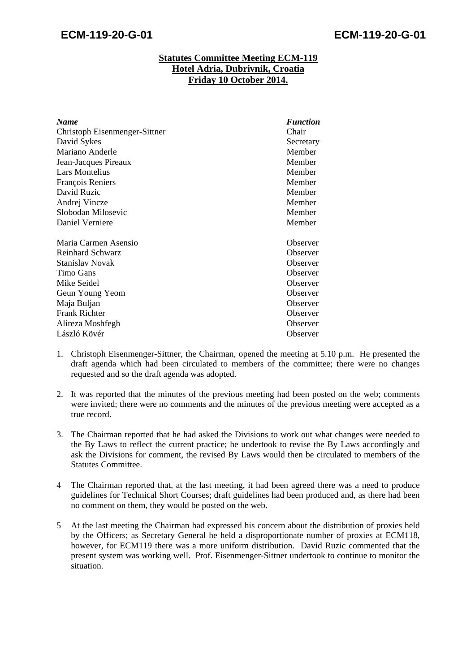## **Statutes Committee Meeting ECM-119 Hotel Adria, Dubrivnik, Croatia Friday 10 October 2014.**

| <b>Name</b>                   | <b>Function</b> |
|-------------------------------|-----------------|
| Christoph Eisenmenger-Sittner | Chair           |
| David Sykes                   | Secretary       |
| Mariano Anderle               | Member          |
| Jean-Jacques Pireaux          | Member          |
| <b>Lars Montelius</b>         | Member          |
| François Reniers              | Member          |
| David Ruzic                   | Member          |
| Andrej Vincze                 | Member          |
| Slobodan Milosevic            | Member          |
| Daniel Verniere               | Member          |
| Maria Carmen Asensio          | Observer        |
| Reinhard Schwarz              | Observer        |
| Stanislav Novak               | Observer        |
| Timo Gans                     | Observer        |
| Mike Seidel                   | Observer        |
| Geun Young Yeom               | Observer        |
| Maja Buljan                   | Observer        |
| <b>Frank Richter</b>          | Observer        |
| Alireza Moshfegh              | Observer        |
| László Kövér                  | Observer        |

- 1. Christoph Eisenmenger-Sittner, the Chairman, opened the meeting at 5.10 p.m. He presented the draft agenda which had been circulated to members of the committee; there were no changes requested and so the draft agenda was adopted.
- 2. It was reported that the minutes of the previous meeting had been posted on the web; comments were invited; there were no comments and the minutes of the previous meeting were accepted as a true record.
- 3. The Chairman reported that he had asked the Divisions to work out what changes were needed to the By Laws to reflect the current practice; he undertook to revise the By Laws accordingly and ask the Divisions for comment, the revised By Laws would then be circulated to members of the Statutes Committee.
- 4 The Chairman reported that, at the last meeting, it had been agreed there was a need to produce guidelines for Technical Short Courses; draft guidelines had been produced and, as there had been no comment on them, they would be posted on the web.
- 5 At the last meeting the Chairman had expressed his concern about the distribution of proxies held by the Officers; as Secretary General he held a disproportionate number of proxies at ECM118, however, for ECM119 there was a more uniform distribution. David Ruzic commented that the present system was working well. Prof. Eisenmenger-Sittner undertook to continue to monitor the situation.